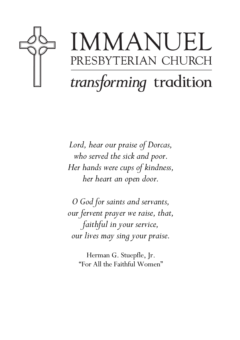

# IMMANUEL PRESBYTERIAN CHURCH transforming tradition

Lord, hear our praise of Dorcas, who served the sick and poor. Her hands were cups of kindness, her heart an open door.

O God for saints and servants, our fervent prayer we raise, that, faithful in your service, our lives may sing your praise.

> Herman G. Stuepfle, Jr. "For All the Faithful Women"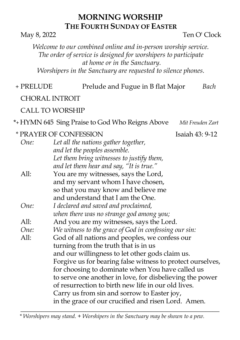# MORNING WORSHIP THE FOURTH SUNDAY OF EASTER

May 8, 2022 Ten O' Clock

Welcome to our combined online and in-person worship service. The order of service is designed for worshipers to participate at home or in the Sanctuary. Worshipers in the Sanctuary are requested to silence phones. + PRELUDE Prelude and Fugue in B flat Major Bach CHORAL INTROIT CALL TO WORSHIP \*+ HYMN 645 Sing Praise to God Who Reigns Above Mit Freuden Zart \* PRAYER OF CONFESSION Isaiah 43: 9-12 One: Let all the nations gather together, and let the peoples assemble. Let them bring witnesses to justify them, and let them hear and say, "It is true." All: You are my witnesses, says the Lord, and my servant whom I have chosen, so that you may know and believe me and understand that I am the One. One: I declared and saved and proclaimed, when there was no strange god among you; All: And you are my witnesses, says the Lord. One: We witness to the grace of God in confessing our sin: All: God of all nations and peoples, we confess our turning from the truth that is in us and our willingness to let other gods claim us. Forgive us for bearing false witness to protect ourselves, for choosing to dominate when You have called us to serve one another in love, for disbelieving the power of resurrection to birth new life in our old lives. Carry us from sin and sorrow to Easter joy, in the grace of our crucified and risen Lord. Amen.

\* Worshipers may stand. + Worshipers in the Sanctuary may be shown to a pew.

\_\_\_\_\_\_\_\_\_\_\_\_\_\_\_\_\_\_\_\_\_\_\_\_\_\_\_\_\_\_\_\_\_\_\_\_\_\_\_\_\_\_\_\_\_\_\_\_\_\_\_\_\_\_\_\_\_\_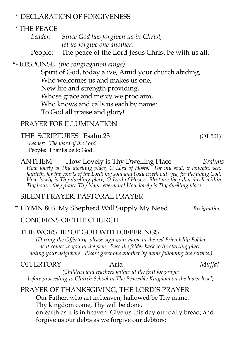#### \* DECLARATION OF FORGIVENESS

## \* THE PEACE

Leader: Since God has forgiven us in Christ, let us forgive one another.

People: The peace of the Lord Jesus Christ be with us all.

\*+ RESPONSE (the congregation sings)

 Spirit of God, today alive, Amid your church abiding, Who welcomes us and makes us one, New life and strength providing, Whose grace and mercy we proclaim, Who knows and calls us each by name: To God all praise and glory!

# PRAYER FOR ILLUMINATION

THE SCRIPTURES Psalm 23 (OT 501) Leader: The word of the Lord. People: Thanks be to God.

#### ANTHEM How Lovely is Thy Dwelling Place Brahms How lovely is Thy dwelling place, O Lord of Hosts! For my soul, it longeth, yea, fainteth, for the courts of the Lord; my soul and body crieth out, yea, for the living God.

How lovely is Thy dwelling place,  $\breve{O}$  Lord of Hosts! Blest are they that dwell within Thy house, they praise Thy Name evermore! How lovely is Thy dwelling place.

#### SILENT PRAYER, PASTORAL PRAYER

\* HYMN 803 My Shepherd Will Supply My Need Resignation

#### CONCERNS OF THE CHURCH

#### THE WORSHIP OF GOD WITH OFFERINGS

(During the Offertory, please sign your name in the red Friendship Folder as it comes to you in the pew. Pass the folder back to its starting place, noting your neighbors. Please greet one another by name following the service.)

#### OFFERTORY Aria Muffat

(Children and teachers gather at the font for prayer before proceeding to Church School in The Peaceable Kingdom on the lower level)

#### PRAYER OF THANKSGIVING, THE LORD'S PRAYER

Our Father, who art in heaven, hallowed be Thy name. Thy kingdom come, Thy will be done, on earth as it is in heaven. Give us this day our daily bread; and forgive us our debts as we forgive our debtors;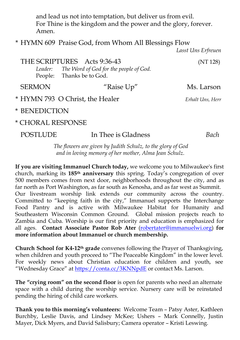and lead us not into temptation, but deliver us from evil. For Thine is the kingdom and the power and the glory, forever. Amen.

\* HYMN 609 Praise God, from Whom All Blessings Flow

Lasst Uns Erfreuen

| THE SCRIPTURES Acts 9:36-43<br>People: Thanks be to God. | Leader: The Word of God for the people of God. | (NT 128)         |
|----------------------------------------------------------|------------------------------------------------|------------------|
| <b>SERMON</b>                                            | "Raise Up"                                     | Ms. Larson       |
| * HYMN 793 O Christ, the Healer                          |                                                | Erhalt Uns, Herr |
| * BENEDICTION                                            |                                                |                  |
|                                                          |                                                |                  |

\* CHORAL RESPONSE

| POSTLUDE | In Thee is Gladness | Bach |
|----------|---------------------|------|
|          |                     |      |

The flowers are given by Judith Schulz, to the glory of God and in loving memory of her mother, Alma Jean Schulz.

If you are visiting Immanuel Church today, we welcome you to Milwaukee's first church, marking its 185<sup>th</sup> anniversary this spring. Today's congregation of over 500 members comes from next door, neighborhoods throughout the city, and as far north as Port Washington, as far south as Kenosha, and as far west as Summit. Our livestream worship link extends our community across the country. Committed to "keeping faith in the city," Immanuel supports the Interchange Food Pantry and is active with Milwaukee Habitat for Humanity and Southeastern Wisconsin Common Ground. Global mission projects reach to Zambia and Cuba. Worship is our first priority and education is emphasized for all ages. Contact Associate Pastor Rob Ater (robertater@immanuelwi.org) for more information about Immanuel or church membership.

Church School for K4-12th grade convenes following the Prayer of Thanksgiving, when children and youth proceed to "The Peaceable Kingdom" in the lower level. For weekly news about Christian education for children and youth, see "Wednesday Grace" at https://conta.cc/3KNNpdE or contact Ms. Larson.

The "crying room" on the second floor is open for parents who need an alternate space with a child during the worship service. Nursery care will be reinstated pending the hiring of child care workers.

Thank you to this morning's volunteers: Welcome Team – Patsy Aster, Kathleen Burchby, Leslie Davis, and Lindsey McKee; Ushers – Mark Connelly, Justin Mayer, Dick Myers, and David Salisbury; Camera operator – Kristi Leswing.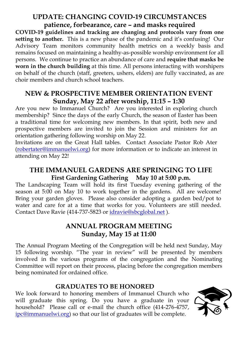#### UPDATE: CHANGING COVID-19 CIRCUMSTANCES patience, forbearance, care – and masks required

COVID-19 guidelines and tracking are changing and protocols vary from one setting to another. This is a new phase of the pandemic and it's confusing! Our Advisory Team monitors community health metrics on a weekly basis and remains focused on maintaining a healthy-as-possible worship environment for all persons. We continue to practice an abundance of care and require that masks be worn in the church building at this time. All persons interacting with worshipers on behalf of the church (staff, greeters, ushers, elders) are fully vaccinated, as are choir members and church school teachers.

#### NEW & PROSPECTIVE MEMBER ORIENTATION EVENT Sunday, May 22 after worship, 11:15 – 1:30

Are you new to Immanuel Church? Are you interested in exploring church membership? Since the days of the early Church, the season of Easter has been a traditional time for welcoming new members. In that spirit, both new and prospective members are invited to join the Session and ministers for an orientation gathering following worship on May 22.

Invitations are on the Great Hall tables. Contact Associate Pastor Rob Ater (robertater@immanuelwi.org) for more information or to indicate an interest in attending on May 22!

#### THE IMMANUEL GARDENS ARE SPRINGING TO LIFE First Gardening Gathering May 10 at 5:00 p.m.

The Landscaping Team will hold its first Tuesday evening gathering of the season at 5:00 on May 10 to work together in the gardens. All are welcome! Bring your garden gloves. Please also consider adopting a garden bed/pot to water and care for at a time that works for you. Volunteers are still needed. Contact Dave Ravie (414-737-5823 or idravie@sbcglobal.net ).

#### ANNUAL PROGRAM MEETING Sunday, May 15 at 11:00

The Annual Program Meeting of the Congregation will be held next Sunday, May 15 following worship. "The year in review" will be presented by members involved in the various programs of the congregation and the Nominating Committee will report on their process, placing before the congregation members being nominated for ordained office.

#### GRADUATES TO BE HONORED

We look forward to honoring members of Immanuel Church who will graduate this spring. Do you have a graduate in your household? Please call or e-mail the church office (414-276-4757, ipc@immanuelwi.org) so that our list of graduates will be complete.

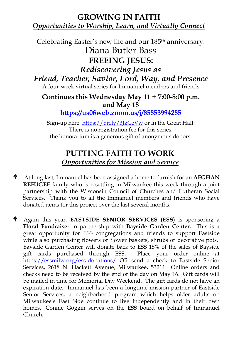# GROWING IN FAITH

## Opportunities to Worship, Learn, and Virtually Connect

Celebrating Easter's new life and our 185th anniversary: Diana Butler Bass FREEING JESUS: Rediscovering Jesus as Friend, Teacher, Savior, Lord, Way, and Presence A four-week virtual series for Immanuel members and friends

#### Continues this Wednesday May 11 + 7:00-8:00 p.m. and May 18

https://us06web.zoom.us/j/85853994285

Sign-up here: https://bit.ly/3JzCeVw or in the Great Hall. There is no registration fee for this series; the honorarium is a generous gift of anonymous donors.

# PUTTING FAITH TO WORK Opportunities for Mission and Service

- At long last, Immanuel has been assigned a home to furnish for an AFGHAN REFUGEE family who is resettling in Milwaukee this week through a joint partnership with the Wisconsin Council of Churches and Lutheran Social Services. Thank you to all the Immanuel members and friends who have donated items for this project over the last several months.
- Again this year, EASTSIDE SENIOR SERVICES (ESS) is sponsoring a Floral Fundraiser in partnership with Bayside Garden Center. This is a great opportunity for ESS congregations and friends to support Eastside while also purchasing flowers or flower baskets, shrubs or decorative pots. Bayside Garden Center will donate back to ESS 15% of the sales of Bayside gift cards purchased through ESS. Place your order online at https://essmilw.org/ess-donations/ OR send a check to Eastside Senior Services, 2618 N. Hackett Avenue, Milwaukee, 53211. Online orders and checks need to be received by the end of the day on May 16. Gift cards will be mailed in time for Memorial Day Weekend. The gift cards do not have an expiration date. Immanuel has been a longtime mission partner of Eastside Senior Services, a neighborhood program which helps older adults on Milwaukee's East Side continue to live independently and in their own homes. Connie Goggin serves on the ESS board on behalf of Immanuel Church.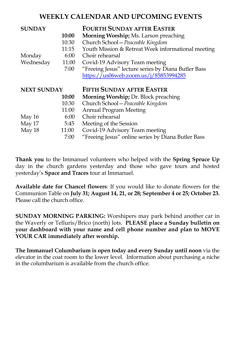#### WEEKLY CALENDAR AND UPCOMING EVENTS

| <b>SUNDAY</b>      |       | <b>FOURTH SUNDAY AFTER EASTER</b>                   |
|--------------------|-------|-----------------------------------------------------|
|                    | 10:00 | Morning Worship; Ms. Larson preaching               |
|                    | 10:30 | Church School - Peaceable Kingdom                   |
|                    | 11:15 | Youth Mission & Retreat Week informational meeting  |
| Monday             | 6:00  | Choir rehearsal                                     |
| Wednesday          | 11:00 | Covid-19 Advisory Team meeting                      |
|                    | 7:00  | "Freeing Jesus" lecture series by Diana Butler Bass |
|                    |       | https://us06web.zoom.us/j/85853994285               |
|                    |       |                                                     |
|                    |       |                                                     |
| <b>NEXT SUNDAY</b> |       | FIFTH SUNDAY AFTER EASTER                           |
|                    | 10:00 | <b>Morning Worship; Dr. Block preaching</b>         |
|                    | 10:30 | Church School - Peaceable Kingdom                   |
|                    | 11:00 | <b>Annual Program Meeting</b>                       |
| May 16             | 6:00  | Choir rehearsal                                     |
| May 17             | 5:45  | Meeting of the Session                              |
| May 18             | 11:00 | Covid-19 Advisory Team meeting                      |

Thank you to the Immanuel volunteers who helped with the Spring Spruce Up day in the church gardens yesterday and those who gave tours and hosted yesterday's Space and Traces tour at Immanuel.

Available date for Chancel flowers: If you would like to donate flowers for the Communion Table on July 31; August 14, 21, or 28; September 4 or 25; October 23. Please call the church office.

SUNDAY MORNING PARKING: Worshipers may park behind another car in the Waverly or Telluris/Brico (north) lots. PLEASE place a Sunday bulletin on your dashboard with your name and cell phone number and plan to MOVE YOUR CAR immediately after worship.

The Immanuel Columbarium is open today and every Sunday until noon via the elevator in the coat room to the lower level. Information about purchasing a niche in the columbarium is available from the church office.